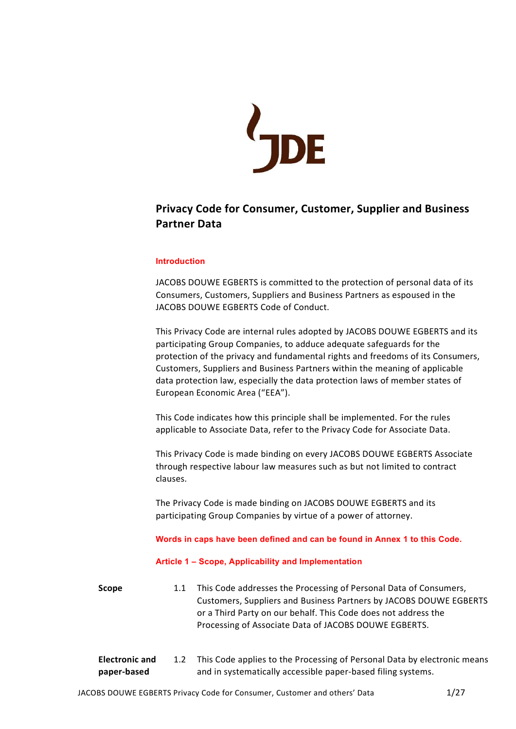

# Privacy Code for Consumer, Customer, Supplier and Business Partner Data

## Introduction

JACOBS DOUWE EGBERTS is committed to the protection of personal data of its Consumers, Customers, Suppliers and Business Partners as espoused in the JACOBS DOUWE EGBERTS Code of Conduct.

This Privacy Code are internal rules adopted by JACOBS DOUWE EGBERTS and its participating Group Companies, to adduce adequate safeguards for the protection of the privacy and fundamental rights and freedoms of its Consumers, Customers, Suppliers and Business Partners within the meaning of applicable data protection law, especially the data protection laws of member states of European Economic Area ("EEA").

This Code indicates how this principle shall be implemented. For the rules applicable to Associate Data, refer to the Privacy Code for Associate Data.

This Privacy Code is made binding on every JACOBS DOUWE EGBERTS Associate through respective labour law measures such as but not limited to contract clauses.

The Privacy Code is made binding on JACOBS DOUWE EGBERTS and its participating Group Companies by virtue of a power of attorney.

Words in caps have been defined and can be found in Annex 1 to this Code.

#### Article 1 – Scope, Applicability and Implementation

| <b>Scope</b> | 1.1 | This Code addresses the Processing of Personal Data of Consumers,  |
|--------------|-----|--------------------------------------------------------------------|
|              |     | Customers, Suppliers and Business Partners by JACOBS DOUWE EGBERTS |
|              |     | or a Third Party on our behalf. This Code does not address the     |
|              |     | Processing of Associate Data of JACOBS DOUWE EGBERTS.              |
|              |     |                                                                    |

| <b>Electronic and</b> | 1.2 This Code applies to the Processing of Personal Data by electronic means |
|-----------------------|------------------------------------------------------------------------------|
| paper-based           | and in systematically accessible paper-based filing systems.                 |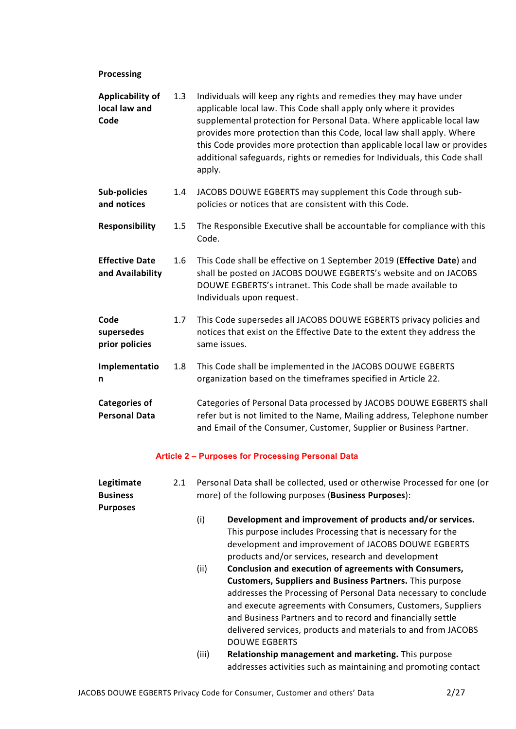# Processing

| Applicability of<br>local law and<br>Code    | 1.3 | Individuals will keep any rights and remedies they may have under<br>applicable local law. This Code shall apply only where it provides<br>supplemental protection for Personal Data. Where applicable local law<br>provides more protection than this Code, local law shall apply. Where<br>this Code provides more protection than applicable local law or provides<br>additional safeguards, rights or remedies for Individuals, this Code shall<br>apply. |
|----------------------------------------------|-----|---------------------------------------------------------------------------------------------------------------------------------------------------------------------------------------------------------------------------------------------------------------------------------------------------------------------------------------------------------------------------------------------------------------------------------------------------------------|
| <b>Sub-policies</b><br>and notices           | 1.4 | JACOBS DOUWE EGBERTS may supplement this Code through sub-<br>policies or notices that are consistent with this Code.                                                                                                                                                                                                                                                                                                                                         |
| <b>Responsibility</b>                        | 1.5 | The Responsible Executive shall be accountable for compliance with this<br>Code.                                                                                                                                                                                                                                                                                                                                                                              |
| <b>Effective Date</b><br>and Availability    | 1.6 | This Code shall be effective on 1 September 2019 (Effective Date) and<br>shall be posted on JACOBS DOUWE EGBERTS's website and on JACOBS<br>DOUWE EGBERTS's intranet. This Code shall be made available to<br>Individuals upon request.                                                                                                                                                                                                                       |
| Code<br>supersedes<br>prior policies         | 1.7 | This Code supersedes all JACOBS DOUWE EGBERTS privacy policies and<br>notices that exist on the Effective Date to the extent they address the<br>same issues.                                                                                                                                                                                                                                                                                                 |
| Implementatio<br>n                           | 1.8 | This Code shall be implemented in the JACOBS DOUWE EGBERTS<br>organization based on the timeframes specified in Article 22.                                                                                                                                                                                                                                                                                                                                   |
| <b>Categories of</b><br><b>Personal Data</b> |     | Categories of Personal Data processed by JACOBS DOUWE EGBERTS shall<br>refer but is not limited to the Name, Mailing address, Telephone number<br>and Email of the Consumer, Customer, Supplier or Business Partner.                                                                                                                                                                                                                                          |

# Article 2 – Purposes for Processing Personal Data

| Legitimate<br><b>Business</b><br><b>Purposes</b> | 2.1 | Personal Data shall be collected, used or otherwise Processed for one (or<br>more) of the following purposes (Business Purposes): |                                                                                                                                                                                                                                                                                                                                                                                                                    |  |
|--------------------------------------------------|-----|-----------------------------------------------------------------------------------------------------------------------------------|--------------------------------------------------------------------------------------------------------------------------------------------------------------------------------------------------------------------------------------------------------------------------------------------------------------------------------------------------------------------------------------------------------------------|--|
|                                                  |     | (i)                                                                                                                               | Development and improvement of products and/or services.<br>This purpose includes Processing that is necessary for the<br>development and improvement of JACOBS DOUWE EGBERTS<br>products and/or services, research and development                                                                                                                                                                                |  |
|                                                  |     | (ii)                                                                                                                              | Conclusion and execution of agreements with Consumers,<br><b>Customers, Suppliers and Business Partners.</b> This purpose<br>addresses the Processing of Personal Data necessary to conclude<br>and execute agreements with Consumers, Customers, Suppliers<br>and Business Partners and to record and financially settle<br>delivered services, products and materials to and from JACOBS<br><b>DOUWE EGBERTS</b> |  |
|                                                  |     | (iii)                                                                                                                             | Relationship management and marketing. This purpose<br>addresses activities such as maintaining and promoting contact                                                                                                                                                                                                                                                                                              |  |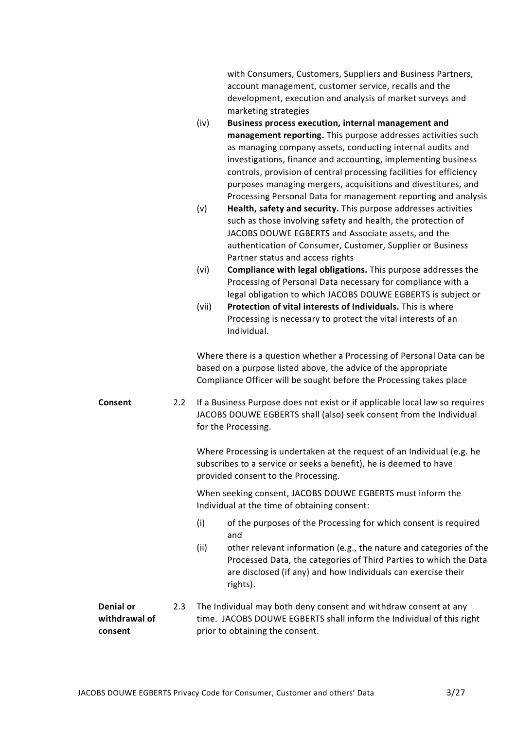|                                              |     | with Consumers, Customers, Suppliers and Business Partners,<br>account management, customer service, recalls and the<br>development, execution and analysis of market surveys and<br>marketing strategies<br>Business process execution, internal management and<br>(iv)<br>management reporting. This purpose addresses activities such<br>as managing company assets, conducting internal audits and<br>investigations, finance and accounting, implementing business<br>controls, provision of central processing facilities for efficiency<br>purposes managing mergers, acquisitions and divestitures, and<br>Processing Personal Data for management reporting and analysis<br>Health, safety and security. This purpose addresses activities<br>(v)<br>such as those involving safety and health, the protection of<br>JACOBS DOUWE EGBERTS and Associate assets, and the<br>authentication of Consumer, Customer, Supplier or Business<br>Partner status and access rights<br>(vi)<br>Compliance with legal obligations. This purpose addresses the<br>Processing of Personal Data necessary for compliance with a<br>legal obligation to which JACOBS DOUWE EGBERTS is subject or<br>Protection of vital interests of Individuals. This is where<br>(vii)<br>Processing is necessary to protect the vital interests of an<br>Individual. |
|----------------------------------------------|-----|---------------------------------------------------------------------------------------------------------------------------------------------------------------------------------------------------------------------------------------------------------------------------------------------------------------------------------------------------------------------------------------------------------------------------------------------------------------------------------------------------------------------------------------------------------------------------------------------------------------------------------------------------------------------------------------------------------------------------------------------------------------------------------------------------------------------------------------------------------------------------------------------------------------------------------------------------------------------------------------------------------------------------------------------------------------------------------------------------------------------------------------------------------------------------------------------------------------------------------------------------------------------------------------------------------------------------------------------------|
|                                              |     | Where there is a question whether a Processing of Personal Data can be<br>based on a purpose listed above, the advice of the appropriate<br>Compliance Officer will be sought before the Processing takes place                                                                                                                                                                                                                                                                                                                                                                                                                                                                                                                                                                                                                                                                                                                                                                                                                                                                                                                                                                                                                                                                                                                                   |
| Consent                                      | 2.2 | If a Business Purpose does not exist or if applicable local law so requires<br>JACOBS DOUWE EGBERTS shall (also) seek consent from the Individual<br>for the Processing.                                                                                                                                                                                                                                                                                                                                                                                                                                                                                                                                                                                                                                                                                                                                                                                                                                                                                                                                                                                                                                                                                                                                                                          |
|                                              |     | Where Processing is undertaken at the request of an Individual (e.g. he<br>subscribes to a service or seeks a benefit), he is deemed to have<br>provided consent to the Processing.                                                                                                                                                                                                                                                                                                                                                                                                                                                                                                                                                                                                                                                                                                                                                                                                                                                                                                                                                                                                                                                                                                                                                               |
|                                              |     | When seeking consent, JACOBS DOUWE EGBERTS must inform the<br>Individual at the time of obtaining consent:                                                                                                                                                                                                                                                                                                                                                                                                                                                                                                                                                                                                                                                                                                                                                                                                                                                                                                                                                                                                                                                                                                                                                                                                                                        |
|                                              |     | (i)<br>of the purposes of the Processing for which consent is required<br>and                                                                                                                                                                                                                                                                                                                                                                                                                                                                                                                                                                                                                                                                                                                                                                                                                                                                                                                                                                                                                                                                                                                                                                                                                                                                     |
|                                              |     | other relevant information (e.g., the nature and categories of the<br>(ii)<br>Processed Data, the categories of Third Parties to which the Data<br>are disclosed (if any) and how Individuals can exercise their<br>rights).                                                                                                                                                                                                                                                                                                                                                                                                                                                                                                                                                                                                                                                                                                                                                                                                                                                                                                                                                                                                                                                                                                                      |
| <b>Denial or</b><br>withdrawal of<br>consent | 2.3 | The Individual may both deny consent and withdraw consent at any<br>time. JACOBS DOUWE EGBERTS shall inform the Individual of this right<br>prior to obtaining the consent.                                                                                                                                                                                                                                                                                                                                                                                                                                                                                                                                                                                                                                                                                                                                                                                                                                                                                                                                                                                                                                                                                                                                                                       |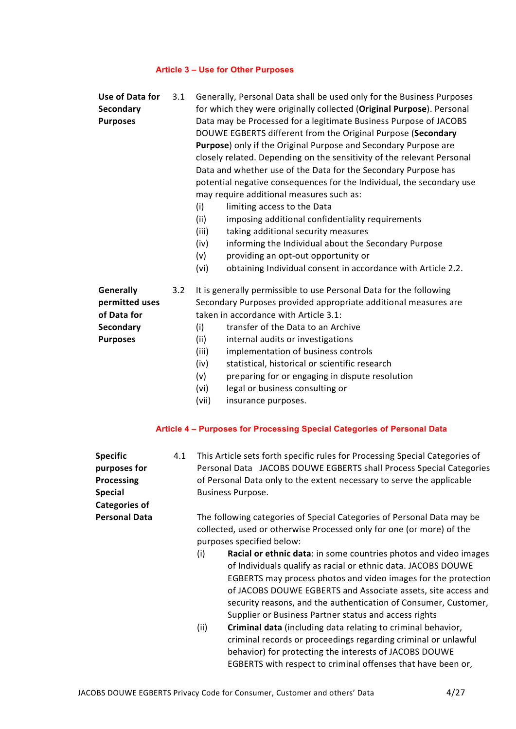# Article 3 – Use for Other Purposes

| Use of Data for<br>Secondary<br><b>Purposes</b>                                                                 | 3.1 | Generally, Personal Data shall be used only for the Business Purposes<br>for which they were originally collected (Original Purpose). Personal<br>Data may be Processed for a legitimate Business Purpose of JACOBS<br>DOUWE EGBERTS different from the Original Purpose (Secondary<br>Purpose) only if the Original Purpose and Secondary Purpose are<br>closely related. Depending on the sensitivity of the relevant Personal<br>Data and whether use of the Data for the Secondary Purpose has<br>potential negative consequences for the Individual, the secondary use<br>may require additional measures such as:<br>(i)<br>limiting access to the Data<br>(ii)<br>imposing additional confidentiality requirements<br>taking additional security measures<br>(iii)<br>informing the Individual about the Secondary Purpose<br>(iv)<br>providing an opt-out opportunity or<br>(v)<br>obtaining Individual consent in accordance with Article 2.2.<br>(vi)                                                                                                                                                |
|-----------------------------------------------------------------------------------------------------------------|-----|----------------------------------------------------------------------------------------------------------------------------------------------------------------------------------------------------------------------------------------------------------------------------------------------------------------------------------------------------------------------------------------------------------------------------------------------------------------------------------------------------------------------------------------------------------------------------------------------------------------------------------------------------------------------------------------------------------------------------------------------------------------------------------------------------------------------------------------------------------------------------------------------------------------------------------------------------------------------------------------------------------------------------------------------------------------------------------------------------------------|
| <b>Generally</b><br>permitted uses<br>of Data for<br>Secondary<br><b>Purposes</b>                               | 3.2 | It is generally permissible to use Personal Data for the following<br>Secondary Purposes provided appropriate additional measures are<br>taken in accordance with Article 3.1:<br>transfer of the Data to an Archive<br>(i)<br>(ii)<br>internal audits or investigations<br>(iii)<br>implementation of business controls<br>statistical, historical or scientific research<br>(iv)<br>preparing for or engaging in dispute resolution<br>(v)<br>legal or business consulting or<br>(vi)<br>(vii)<br>insurance purposes.                                                                                                                                                                                                                                                                                                                                                                                                                                                                                                                                                                                        |
|                                                                                                                 |     | Article 4 - Purposes for Processing Special Categories of Personal Data                                                                                                                                                                                                                                                                                                                                                                                                                                                                                                                                                                                                                                                                                                                                                                                                                                                                                                                                                                                                                                        |
| <b>Specific</b><br>purposes for<br>Processing<br><b>Special</b><br><b>Categories of</b><br><b>Personal Data</b> | 4.1 | This Article sets forth specific rules for Processing Special Categories of<br>Personal Data JACOBS DOUWE EGBERTS shall Process Special Categories<br>of Personal Data only to the extent necessary to serve the applicable<br>Business Purpose.<br>The following categories of Special Categories of Personal Data may be<br>collected, used or otherwise Processed only for one (or more) of the<br>purposes specified below:<br>(i)<br>Racial or ethnic data: in some countries photos and video images<br>of Individuals qualify as racial or ethnic data. JACOBS DOUWE<br>EGBERTS may process photos and video images for the protection<br>of JACOBS DOUWE EGBERTS and Associate assets, site access and<br>security reasons, and the authentication of Consumer, Customer,<br>Supplier or Business Partner status and access rights<br>Criminal data (including data relating to criminal behavior,<br>(ii)<br>criminal records or proceedings regarding criminal or unlawful<br>behavior) for protecting the interests of JACOBS DOUWE<br>EGBERTS with respect to criminal offenses that have been or, |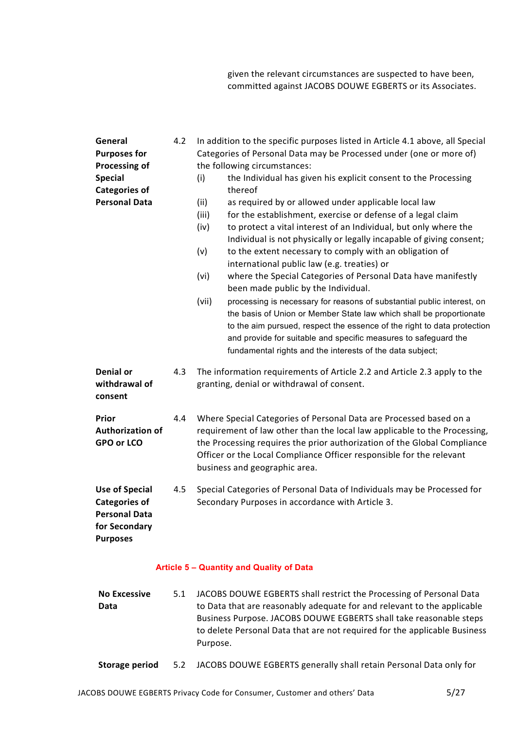given the relevant circumstances are suspected to have been, committed against JACOBS DOUWE EGBERTS or its Associates.

| General<br><b>Purposes for</b><br>Processing of<br><b>Special</b><br><b>Categories of</b><br><b>Personal Data</b> | 4.2 | In addition to the specific purposes listed in Article 4.1 above, all Special<br>Categories of Personal Data may be Processed under (one or more of)<br>the following circumstances:<br>the Individual has given his explicit consent to the Processing<br>(i)<br>thereof<br>(ii)<br>as required by or allowed under applicable local law<br>for the establishment, exercise or defense of a legal claim<br>(iii)<br>to protect a vital interest of an Individual, but only where the<br>(iv)<br>Individual is not physically or legally incapable of giving consent;<br>to the extent necessary to comply with an obligation of<br>(v)<br>international public law (e.g. treaties) or<br>(vi)<br>where the Special Categories of Personal Data have manifestly<br>been made public by the Individual.<br>(vii)<br>processing is necessary for reasons of substantial public interest, on<br>the basis of Union or Member State law which shall be proportionate<br>to the aim pursued, respect the essence of the right to data protection<br>and provide for suitable and specific measures to safeguard the<br>fundamental rights and the interests of the data subject; |
|-------------------------------------------------------------------------------------------------------------------|-----|-----------------------------------------------------------------------------------------------------------------------------------------------------------------------------------------------------------------------------------------------------------------------------------------------------------------------------------------------------------------------------------------------------------------------------------------------------------------------------------------------------------------------------------------------------------------------------------------------------------------------------------------------------------------------------------------------------------------------------------------------------------------------------------------------------------------------------------------------------------------------------------------------------------------------------------------------------------------------------------------------------------------------------------------------------------------------------------------------------------------------------------------------------------------------------|
| <b>Denial or</b><br>withdrawal of<br>consent                                                                      | 4.3 | The information requirements of Article 2.2 and Article 2.3 apply to the<br>granting, denial or withdrawal of consent.                                                                                                                                                                                                                                                                                                                                                                                                                                                                                                                                                                                                                                                                                                                                                                                                                                                                                                                                                                                                                                                      |
| Prior<br><b>Authorization of</b><br>GPO or LCO                                                                    | 4.4 | Where Special Categories of Personal Data are Processed based on a<br>requirement of law other than the local law applicable to the Processing,<br>the Processing requires the prior authorization of the Global Compliance<br>Officer or the Local Compliance Officer responsible for the relevant<br>business and geographic area.                                                                                                                                                                                                                                                                                                                                                                                                                                                                                                                                                                                                                                                                                                                                                                                                                                        |
| <b>Use of Special</b><br><b>Categories of</b><br><b>Personal Data</b><br>for Secondary<br><b>Purposes</b>         | 4.5 | Special Categories of Personal Data of Individuals may be Processed for<br>Secondary Purposes in accordance with Article 3.                                                                                                                                                                                                                                                                                                                                                                                                                                                                                                                                                                                                                                                                                                                                                                                                                                                                                                                                                                                                                                                 |
|                                                                                                                   |     | <b>Article 5 - Quantity and Quality of Data</b>                                                                                                                                                                                                                                                                                                                                                                                                                                                                                                                                                                                                                                                                                                                                                                                                                                                                                                                                                                                                                                                                                                                             |
| <b>No Excessive</b><br>Data                                                                                       | 5.1 | JACOBS DOUWE EGBERTS shall restrict the Processing of Personal Data<br>to Data that are reasonably adequate for and relevant to the applicable<br>Business Purpose. JACOBS DOUWE EGBERTS shall take reasonable steps<br>to delete Personal Data that are not required for the applicable Business<br>Purpose.                                                                                                                                                                                                                                                                                                                                                                                                                                                                                                                                                                                                                                                                                                                                                                                                                                                               |

Storage period 5.2 JACOBS DOUWE EGBERTS generally shall retain Personal Data only for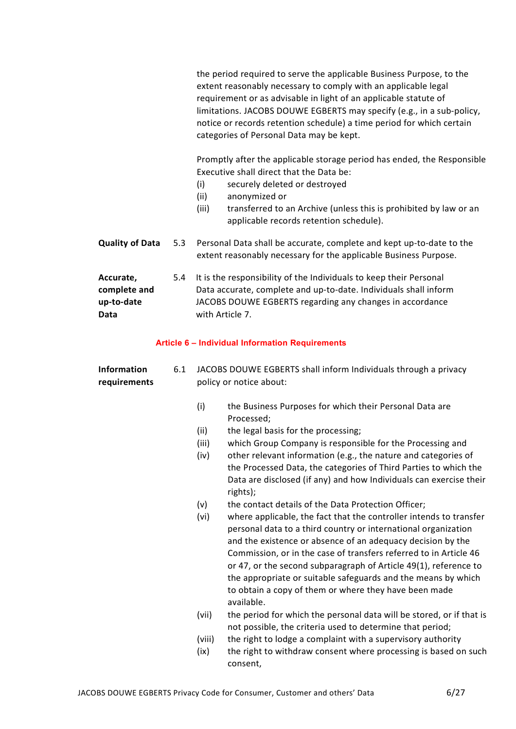the period required to serve the applicable Business Purpose, to the extent reasonably necessary to comply with an applicable legal requirement or as advisable in light of an applicable statute of limitations. JACOBS DOUWE EGBERTS may specify (e.g., in a sub-policy, notice or records retention schedule) a time period for which certain categories of Personal Data may be kept.

Promptly after the applicable storage period has ended, the Responsible Executive shall direct that the Data be:

- (i) securely deleted or destroyed
- (ii) anonymized or
- (iii) transferred to an Archive (unless this is prohibited by law or an applicable records retention schedule).
- Quality of Data 5.3 Personal Data shall be accurate, complete and kept up-to-date to the extent reasonably necessary for the applicable Business Purpose. Accurate, complete and 5.4 It is the responsibility of the Individuals to keep their Personal Data accurate, complete and up-to-date. Individuals shall inform
- up-to-date Data JACOBS DOUWE EGBERTS regarding any changes in accordance with Article 7.

## Article 6 – Individual Information Requirements

Information requirements 6.1 JACOBS DOUWE EGBERTS shall inform Individuals through a privacy policy or notice about:

- (i) the Business Purposes for which their Personal Data are Processed;
- (ii) the legal basis for the processing;
- (iii) which Group Company is responsible for the Processing and
- (iv) other relevant information (e.g., the nature and categories of the Processed Data, the categories of Third Parties to which the Data are disclosed (if any) and how Individuals can exercise their rights);
- (v) the contact details of the Data Protection Officer;
- (vi) where applicable, the fact that the controller intends to transfer personal data to a third country or international organization and the existence or absence of an adequacy decision by the Commission, or in the case of transfers referred to in Article 46 or 47, or the second subparagraph of Article 49(1), reference to the appropriate or suitable safeguards and the means by which to obtain a copy of them or where they have been made available.
- (vii) the period for which the personal data will be stored, or if that is not possible, the criteria used to determine that period;
- (viii) the right to lodge a complaint with a supervisory authority
- (ix) the right to withdraw consent where processing is based on such consent,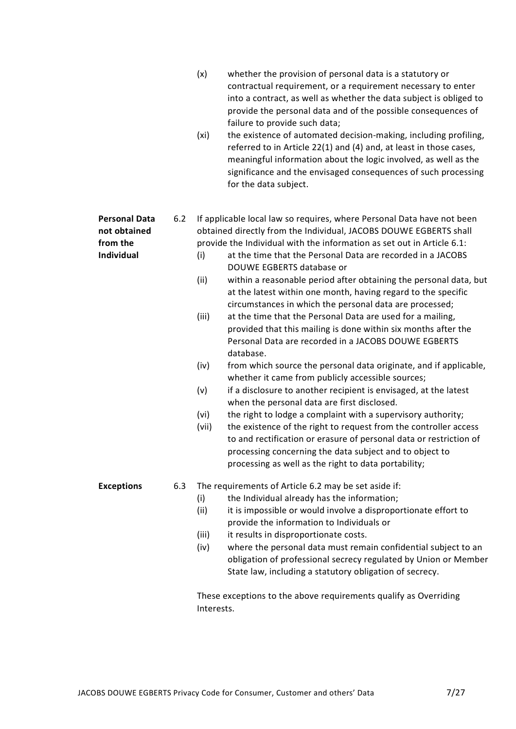|                                                                |     | (x)<br>whether the provision of personal data is a statutory or<br>contractual requirement, or a requirement necessary to enter<br>into a contract, as well as whether the data subject is obliged to<br>provide the personal data and of the possible consequences of<br>failure to provide such data;<br>the existence of automated decision-making, including profiling,<br>(xi)<br>referred to in Article 22(1) and (4) and, at least in those cases,<br>meaningful information about the logic involved, as well as the<br>significance and the envisaged consequences of such processing<br>for the data subject.                                                                                                                                                                                                                                                                                                                                                                                                                                                                                                                                                                                                                                                                                                                                   |
|----------------------------------------------------------------|-----|-----------------------------------------------------------------------------------------------------------------------------------------------------------------------------------------------------------------------------------------------------------------------------------------------------------------------------------------------------------------------------------------------------------------------------------------------------------------------------------------------------------------------------------------------------------------------------------------------------------------------------------------------------------------------------------------------------------------------------------------------------------------------------------------------------------------------------------------------------------------------------------------------------------------------------------------------------------------------------------------------------------------------------------------------------------------------------------------------------------------------------------------------------------------------------------------------------------------------------------------------------------------------------------------------------------------------------------------------------------|
| <b>Personal Data</b><br>not obtained<br>from the<br>Individual | 6.2 | If applicable local law so requires, where Personal Data have not been<br>obtained directly from the Individual, JACOBS DOUWE EGBERTS shall<br>provide the Individual with the information as set out in Article 6.1:<br>at the time that the Personal Data are recorded in a JACOBS<br>(i)<br>DOUWE EGBERTS database or<br>within a reasonable period after obtaining the personal data, but<br>(ii)<br>at the latest within one month, having regard to the specific<br>circumstances in which the personal data are processed;<br>(iii)<br>at the time that the Personal Data are used for a mailing,<br>provided that this mailing is done within six months after the<br>Personal Data are recorded in a JACOBS DOUWE EGBERTS<br>database.<br>(iv)<br>from which source the personal data originate, and if applicable,<br>whether it came from publicly accessible sources;<br>(v)<br>if a disclosure to another recipient is envisaged, at the latest<br>when the personal data are first disclosed.<br>the right to lodge a complaint with a supervisory authority;<br>(vi)<br>the existence of the right to request from the controller access<br>(vii)<br>to and rectification or erasure of personal data or restriction of<br>processing concerning the data subject and to object to<br>processing as well as the right to data portability; |
| <b>Exceptions</b>                                              | 6.3 | The requirements of Article 6.2 may be set aside if:<br>the Individual already has the information;<br>(i)<br>it is impossible or would involve a disproportionate effort to<br>(ii)<br>provide the information to Individuals or<br>(iii)<br>it results in disproportionate costs.<br>where the personal data must remain confidential subject to an<br>(iv)<br>obligation of professional secrecy regulated by Union or Member<br>State law, including a statutory obligation of secrecy.<br>These exceptions to the above requirements qualify as Overriding<br>Interests.                                                                                                                                                                                                                                                                                                                                                                                                                                                                                                                                                                                                                                                                                                                                                                             |
|                                                                |     |                                                                                                                                                                                                                                                                                                                                                                                                                                                                                                                                                                                                                                                                                                                                                                                                                                                                                                                                                                                                                                                                                                                                                                                                                                                                                                                                                           |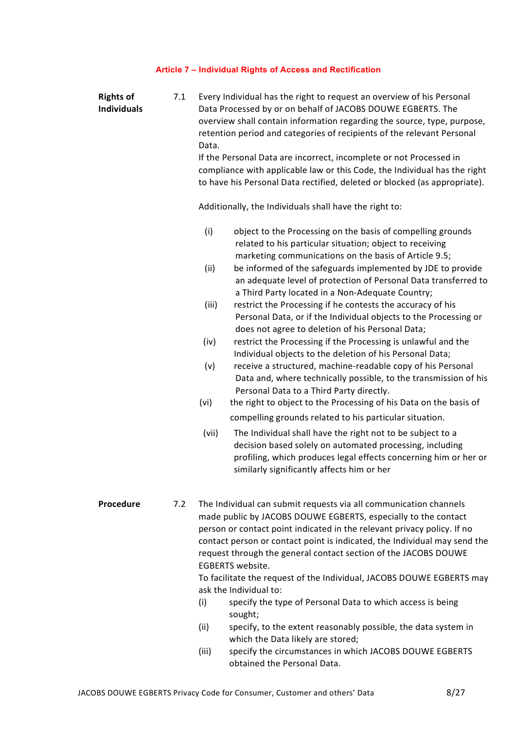# Article 7 – Individual Rights of Access and Rectification

| <b>Rights of</b><br><b>Individuals</b> | 7.1 | Every Individual has the right to request an overview of his Personal<br>Data Processed by or on behalf of JACOBS DOUWE EGBERTS. The<br>overview shall contain information regarding the source, type, purpose,<br>retention period and categories of recipients of the relevant Personal<br>Data.<br>If the Personal Data are incorrect, incomplete or not Processed in<br>compliance with applicable law or this Code, the Individual has the right<br>to have his Personal Data rectified, deleted or blocked (as appropriate).                                                                                                                                                                                                                                                                                                                                                                                                                                                                                                                                                                                                                                                                                                                             |
|----------------------------------------|-----|----------------------------------------------------------------------------------------------------------------------------------------------------------------------------------------------------------------------------------------------------------------------------------------------------------------------------------------------------------------------------------------------------------------------------------------------------------------------------------------------------------------------------------------------------------------------------------------------------------------------------------------------------------------------------------------------------------------------------------------------------------------------------------------------------------------------------------------------------------------------------------------------------------------------------------------------------------------------------------------------------------------------------------------------------------------------------------------------------------------------------------------------------------------------------------------------------------------------------------------------------------------|
|                                        |     | Additionally, the Individuals shall have the right to:                                                                                                                                                                                                                                                                                                                                                                                                                                                                                                                                                                                                                                                                                                                                                                                                                                                                                                                                                                                                                                                                                                                                                                                                         |
|                                        |     | (i)<br>object to the Processing on the basis of compelling grounds<br>related to his particular situation; object to receiving<br>marketing communications on the basis of Article 9.5;<br>be informed of the safeguards implemented by JDE to provide<br>(ii)<br>an adequate level of protection of Personal Data transferred to<br>a Third Party located in a Non-Adequate Country;<br>(iii)<br>restrict the Processing if he contests the accuracy of his<br>Personal Data, or if the Individual objects to the Processing or<br>does not agree to deletion of his Personal Data;<br>(iv)<br>restrict the Processing if the Processing is unlawful and the<br>Individual objects to the deletion of his Personal Data;<br>(v)<br>receive a structured, machine-readable copy of his Personal<br>Data and, where technically possible, to the transmission of his<br>Personal Data to a Third Party directly.<br>(vi)<br>the right to object to the Processing of his Data on the basis of<br>compelling grounds related to his particular situation.<br>(vii)<br>The Individual shall have the right not to be subject to a<br>decision based solely on automated processing, including<br>profiling, which produces legal effects concerning him or her or |
| Procedure                              | 7.2 | similarly significantly affects him or her<br>The Individual can submit requests via all communication channels<br>made public by JACOBS DOUWE EGBERTS, especially to the contact<br>person or contact point indicated in the relevant privacy policy. If no<br>contact person or contact point is indicated, the Individual may send the<br>request through the general contact section of the JACOBS DOUWE<br><b>EGBERTS</b> website.<br>To facilitate the request of the Individual, JACOBS DOUWE EGBERTS may<br>ask the Individual to:<br>(i)<br>specify the type of Personal Data to which access is being<br>sought;<br>(ii)<br>specify, to the extent reasonably possible, the data system in<br>which the Data likely are stored;                                                                                                                                                                                                                                                                                                                                                                                                                                                                                                                      |

(iii) specify the circumstances in which JACOBS DOUWE EGBERTS obtained the Personal Data.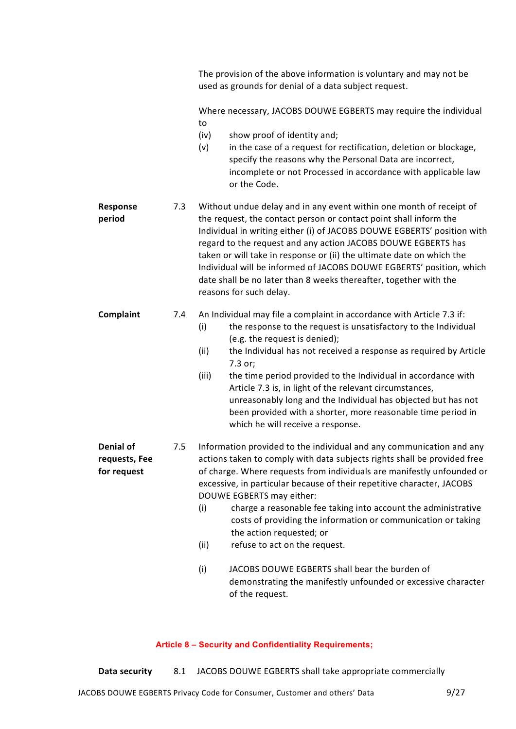|                                                  |     | The provision of the above information is voluntary and may not be<br>used as grounds for denial of a data subject request.                                                                                                                                                                                                                                                                                                                                                                                                                                                                                                                                                                  |
|--------------------------------------------------|-----|----------------------------------------------------------------------------------------------------------------------------------------------------------------------------------------------------------------------------------------------------------------------------------------------------------------------------------------------------------------------------------------------------------------------------------------------------------------------------------------------------------------------------------------------------------------------------------------------------------------------------------------------------------------------------------------------|
|                                                  |     | Where necessary, JACOBS DOUWE EGBERTS may require the individual<br>to                                                                                                                                                                                                                                                                                                                                                                                                                                                                                                                                                                                                                       |
|                                                  |     | (iv)<br>show proof of identity and;<br>in the case of a request for rectification, deletion or blockage,<br>(v)<br>specify the reasons why the Personal Data are incorrect,<br>incomplete or not Processed in accordance with applicable law<br>or the Code.                                                                                                                                                                                                                                                                                                                                                                                                                                 |
| Response<br>period                               | 7.3 | Without undue delay and in any event within one month of receipt of<br>the request, the contact person or contact point shall inform the<br>Individual in writing either (i) of JACOBS DOUWE EGBERTS' position with<br>regard to the request and any action JACOBS DOUWE EGBERTS has<br>taken or will take in response or (ii) the ultimate date on which the<br>Individual will be informed of JACOBS DOUWE EGBERTS' position, which<br>date shall be no later than 8 weeks thereafter, together with the<br>reasons for such delay.                                                                                                                                                        |
| Complaint                                        | 7.4 | An Individual may file a complaint in accordance with Article 7.3 if:<br>the response to the request is unsatisfactory to the Individual<br>(i)<br>(e.g. the request is denied);<br>the Individual has not received a response as required by Article<br>(ii)<br>7.3 or;<br>(iii)<br>the time period provided to the Individual in accordance with<br>Article 7.3 is, in light of the relevant circumstances,<br>unreasonably long and the Individual has objected but has not<br>been provided with a shorter, more reasonable time period in<br>which he will receive a response.                                                                                                          |
| <b>Denial of</b><br>requests, Fee<br>for request | 7.5 | Information provided to the individual and any communication and any<br>actions taken to comply with data subjects rights shall be provided free<br>of charge. Where requests from individuals are manifestly unfounded or<br>excessive, in particular because of their repetitive character, JACOBS<br>DOUWE EGBERTS may either:<br>charge a reasonable fee taking into account the administrative<br>(i)<br>costs of providing the information or communication or taking<br>the action requested; or<br>refuse to act on the request.<br>(ii)<br>JACOBS DOUWE EGBERTS shall bear the burden of<br>(i)<br>demonstrating the manifestly unfounded or excessive character<br>of the request. |

# Article 8 – Security and Confidentiality Requirements;

Data security 8.1 JACOBS DOUWE EGBERTS shall take appropriate commercially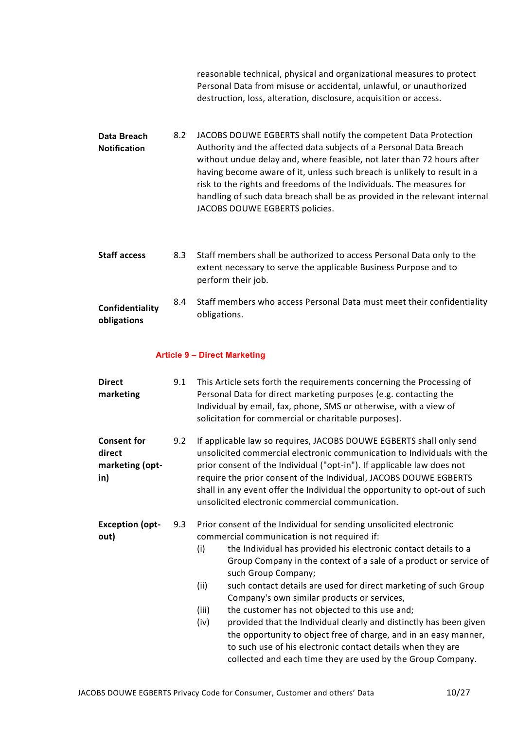reasonable technical, physical and organizational measures to protect Personal Data from misuse or accidental, unlawful, or unauthorized destruction, loss, alteration, disclosure, acquisition or access.

- Data Breach Notification 8.2 JACOBS DOUWE EGBERTS shall notify the competent Data Protection Authority and the affected data subjects of a Personal Data Breach without undue delay and, where feasible, not later than 72 hours after having become aware of it, unless such breach is unlikely to result in a risk to the rights and freedoms of the Individuals. The measures for handling of such data breach shall be as provided in the relevant internal JACOBS DOUWE EGBERTS policies.
- Staff access 8.3 Staff members shall be authorized to access Personal Data only to the extent necessary to serve the applicable Business Purpose and to perform their job.

#### Confidentiality obligations 8.4 Staff members who access Personal Data must meet their confidentiality obligations.

## Article 9 – Direct Marketing

| <b>Direct</b><br>marketing                             | 9.1 | This Article sets forth the requirements concerning the Processing of<br>Personal Data for direct marketing purposes (e.g. contacting the<br>Individual by email, fax, phone, SMS or otherwise, with a view of<br>solicitation for commercial or charitable purposes).                                                                                                                                                                                                                                                                                                                                                                                                                                                                                         |
|--------------------------------------------------------|-----|----------------------------------------------------------------------------------------------------------------------------------------------------------------------------------------------------------------------------------------------------------------------------------------------------------------------------------------------------------------------------------------------------------------------------------------------------------------------------------------------------------------------------------------------------------------------------------------------------------------------------------------------------------------------------------------------------------------------------------------------------------------|
| <b>Consent for</b><br>direct<br>marketing (opt-<br>in) | 9.2 | If applicable law so requires, JACOBS DOUWE EGBERTS shall only send<br>unsolicited commercial electronic communication to Individuals with the<br>prior consent of the Individual ("opt-in"). If applicable law does not<br>require the prior consent of the Individual, JACOBS DOUWE EGBERTS<br>shall in any event offer the Individual the opportunity to opt-out of such<br>unsolicited electronic commercial communication.                                                                                                                                                                                                                                                                                                                                |
| <b>Exception (opt-</b><br>out)                         | 9.3 | Prior consent of the Individual for sending unsolicited electronic<br>commercial communication is not required if:<br>the Individual has provided his electronic contact details to a<br>(i)<br>Group Company in the context of a sale of a product or service of<br>such Group Company;<br>such contact details are used for direct marketing of such Group<br>(ii)<br>Company's own similar products or services,<br>(iii)<br>the customer has not objected to this use and;<br>provided that the Individual clearly and distinctly has been given<br>(iv)<br>the opportunity to object free of charge, and in an easy manner,<br>to such use of his electronic contact details when they are<br>collected and each time they are used by the Group Company. |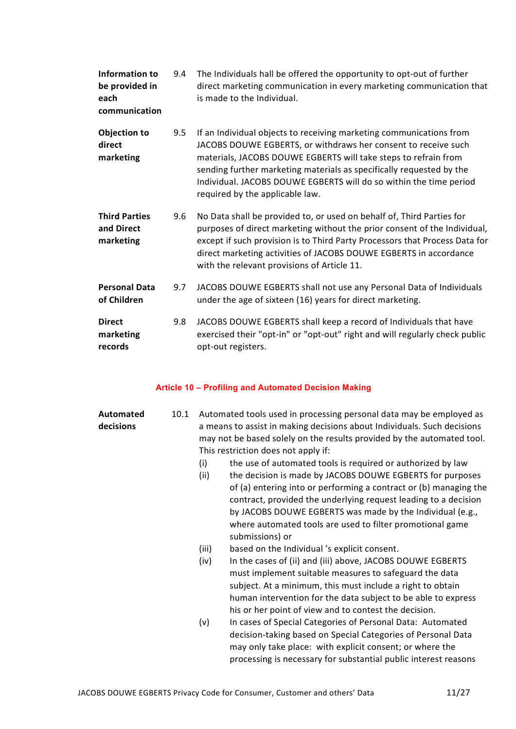| Information to<br>be provided in<br>each<br>communication | 9.4 | The Individuals hall be offered the opportunity to opt-out of further<br>direct marketing communication in every marketing communication that<br>is made to the Individual.                                                                                                                                                                                                               |
|-----------------------------------------------------------|-----|-------------------------------------------------------------------------------------------------------------------------------------------------------------------------------------------------------------------------------------------------------------------------------------------------------------------------------------------------------------------------------------------|
| <b>Objection to</b><br>direct<br>marketing                | 9.5 | If an Individual objects to receiving marketing communications from<br>JACOBS DOUWE EGBERTS, or withdraws her consent to receive such<br>materials, JACOBS DOUWE EGBERTS will take steps to refrain from<br>sending further marketing materials as specifically requested by the<br>Individual. JACOBS DOUWE EGBERTS will do so within the time period<br>required by the applicable law. |
| <b>Third Parties</b><br>and Direct<br>marketing           | 9.6 | No Data shall be provided to, or used on behalf of, Third Parties for<br>purposes of direct marketing without the prior consent of the Individual,<br>except if such provision is to Third Party Processors that Process Data for<br>direct marketing activities of JACOBS DOUWE EGBERTS in accordance<br>with the relevant provisions of Article 11.                                     |
| <b>Personal Data</b><br>of Children                       | 9.7 | JACOBS DOUWE EGBERTS shall not use any Personal Data of Individuals<br>under the age of sixteen (16) years for direct marketing.                                                                                                                                                                                                                                                          |
| <b>Direct</b><br>marketing<br>records                     | 9.8 | JACOBS DOUWE EGBERTS shall keep a record of Individuals that have<br>exercised their "opt-in" or "opt-out" right and will regularly check public<br>opt-out registers.                                                                                                                                                                                                                    |

# Article 10 – Profiling and Automated Decision Making

| <b>Automated</b><br>decisions | 10.1 | (i)<br>(ii)<br>(iii) | Automated tools used in processing personal data may be employed as<br>a means to assist in making decisions about Individuals. Such decisions<br>may not be based solely on the results provided by the automated tool.<br>This restriction does not apply if:<br>the use of automated tools is required or authorized by law<br>the decision is made by JACOBS DOUWE EGBERTS for purposes<br>of (a) entering into or performing a contract or (b) managing the<br>contract, provided the underlying request leading to a decision<br>by JACOBS DOUWE EGBERTS was made by the Individual (e.g.,<br>where automated tools are used to filter promotional game<br>submissions) or<br>based on the Individual's explicit consent. |
|-------------------------------|------|----------------------|---------------------------------------------------------------------------------------------------------------------------------------------------------------------------------------------------------------------------------------------------------------------------------------------------------------------------------------------------------------------------------------------------------------------------------------------------------------------------------------------------------------------------------------------------------------------------------------------------------------------------------------------------------------------------------------------------------------------------------|
|                               |      | (iv)                 | In the cases of (ii) and (iii) above, JACOBS DOUWE EGBERTS<br>must implement suitable measures to safeguard the data<br>subject. At a minimum, this must include a right to obtain<br>human intervention for the data subject to be able to express<br>his or her point of view and to contest the decision.                                                                                                                                                                                                                                                                                                                                                                                                                    |
|                               |      | (v)                  | In cases of Special Categories of Personal Data: Automated<br>decision-taking based on Special Categories of Personal Data<br>may only take place: with explicit consent; or where the<br>processing is necessary for substantial public interest reasons                                                                                                                                                                                                                                                                                                                                                                                                                                                                       |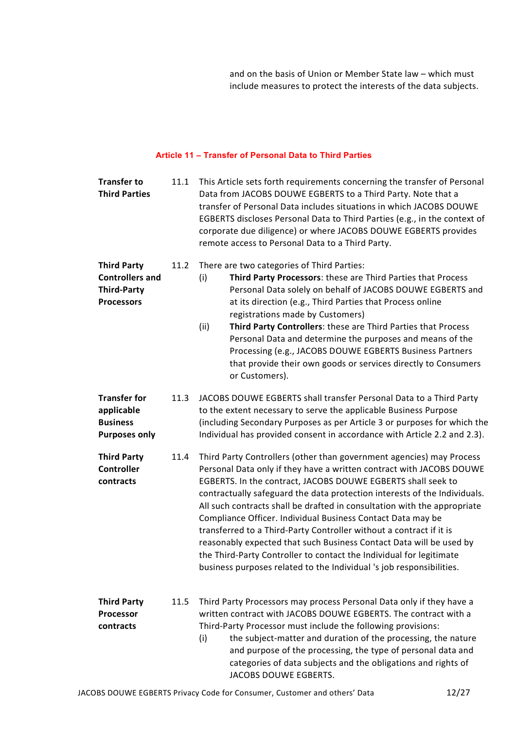and on the basis of Union or Member State law – which must include measures to protect the interests of the data subjects.

## Article 11 – Transfer of Personal Data to Third Parties

| <b>Transfer to</b><br><b>Third Parties</b>                                              | 11.1 | This Article sets forth requirements concerning the transfer of Personal<br>Data from JACOBS DOUWE EGBERTS to a Third Party. Note that a<br>transfer of Personal Data includes situations in which JACOBS DOUWE<br>EGBERTS discloses Personal Data to Third Parties (e.g., in the context of<br>corporate due diligence) or where JACOBS DOUWE EGBERTS provides<br>remote access to Personal Data to a Third Party.                                                                                                                                                                                                                                                                                                               |
|-----------------------------------------------------------------------------------------|------|-----------------------------------------------------------------------------------------------------------------------------------------------------------------------------------------------------------------------------------------------------------------------------------------------------------------------------------------------------------------------------------------------------------------------------------------------------------------------------------------------------------------------------------------------------------------------------------------------------------------------------------------------------------------------------------------------------------------------------------|
| <b>Third Party</b><br><b>Controllers and</b><br><b>Third-Party</b><br><b>Processors</b> | 11.2 | There are two categories of Third Parties:<br>Third Party Processors: these are Third Parties that Process<br>(i)<br>Personal Data solely on behalf of JACOBS DOUWE EGBERTS and<br>at its direction (e.g., Third Parties that Process online<br>registrations made by Customers)<br>Third Party Controllers: these are Third Parties that Process<br>(ii)<br>Personal Data and determine the purposes and means of the<br>Processing (e.g., JACOBS DOUWE EGBERTS Business Partners<br>that provide their own goods or services directly to Consumers<br>or Customers).                                                                                                                                                            |
| <b>Transfer for</b><br>applicable<br><b>Business</b><br><b>Purposes only</b>            | 11.3 | JACOBS DOUWE EGBERTS shall transfer Personal Data to a Third Party<br>to the extent necessary to serve the applicable Business Purpose<br>(including Secondary Purposes as per Article 3 or purposes for which the<br>Individual has provided consent in accordance with Article 2.2 and 2.3).                                                                                                                                                                                                                                                                                                                                                                                                                                    |
| <b>Third Party</b><br><b>Controller</b><br>contracts                                    | 11.4 | Third Party Controllers (other than government agencies) may Process<br>Personal Data only if they have a written contract with JACOBS DOUWE<br>EGBERTS. In the contract, JACOBS DOUWE EGBERTS shall seek to<br>contractually safeguard the data protection interests of the Individuals.<br>All such contracts shall be drafted in consultation with the appropriate<br>Compliance Officer. Individual Business Contact Data may be<br>transferred to a Third-Party Controller without a contract if it is<br>reasonably expected that such Business Contact Data will be used by<br>the Third-Party Controller to contact the Individual for legitimate<br>business purposes related to the Individual 's job responsibilities. |
| <b>Third Party</b><br>Processor<br>contracts                                            | 11.5 | Third Party Processors may process Personal Data only if they have a<br>written contract with JACOBS DOUWE EGBERTS. The contract with a<br>Third-Party Processor must include the following provisions:<br>the subject-matter and duration of the processing, the nature<br>(i)<br>and purpose of the processing, the type of personal data and<br>categories of data subjects and the obligations and rights of<br>JACOBS DOUWE EGBERTS.                                                                                                                                                                                                                                                                                         |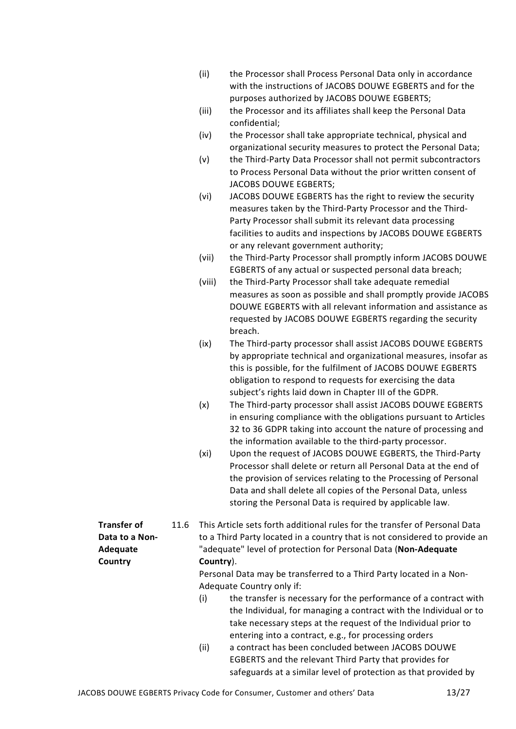| (ii) | the Processor shall Process Personal Data only in accordance |
|------|--------------------------------------------------------------|
|      | with the instructions of JACOBS DOUWE EGBERTS and for the    |
|      | purposes authorized by JACOBS DOUWE EGBERTS;                 |

- (iii) the Processor and its affiliates shall keep the Personal Data confidential;
- (iv) the Processor shall take appropriate technical, physical and organizational security measures to protect the Personal Data;
- (v) the Third-Party Data Processor shall not permit subcontractors to Process Personal Data without the prior written consent of JACOBS DOUWE EGBERTS;
- (vi) JACOBS DOUWE EGBERTS has the right to review the security measures taken by the Third-Party Processor and the Third-Party Processor shall submit its relevant data processing facilities to audits and inspections by JACOBS DOUWE EGBERTS or any relevant government authority;
- (vii) the Third-Party Processor shall promptly inform JACOBS DOUWE EGBERTS of any actual or suspected personal data breach;
- (viii) the Third-Party Processor shall take adequate remedial measures as soon as possible and shall promptly provide JACOBS DOUWE EGBERTS with all relevant information and assistance as requested by JACOBS DOUWE EGBERTS regarding the security breach.
- (ix) The Third-party processor shall assist JACOBS DOUWE EGBERTS by appropriate technical and organizational measures, insofar as this is possible, for the fulfilment of JACOBS DOUWE EGBERTS obligation to respond to requests for exercising the data subject's rights laid down in Chapter III of the GDPR.
- (x) The Third-party processor shall assist JACOBS DOUWE EGBERTS in ensuring compliance with the obligations pursuant to Articles 32 to 36 GDPR taking into account the nature of processing and the information available to the third-party processor.
- (xi) Upon the request of JACOBS DOUWE EGBERTS, the Third-Party Processor shall delete or return all Personal Data at the end of the provision of services relating to the Processing of Personal Data and shall delete all copies of the Personal Data, unless storing the Personal Data is required by applicable law.

Transfer of Data to a Non-Adequate **Country** 11.6 This Article sets forth additional rules for the transfer of Personal Data to a Third Party located in a country that is not considered to provide an "adequate" level of protection for Personal Data (Non-Adequate Country).

Personal Data may be transferred to a Third Party located in a Non-Adequate Country only if:

- (i) the transfer is necessary for the performance of a contract with the Individual, for managing a contract with the Individual or to take necessary steps at the request of the Individual prior to entering into a contract, e.g., for processing orders
- (ii) a contract has been concluded between JACOBS DOUWE EGBERTS and the relevant Third Party that provides for safeguards at a similar level of protection as that provided by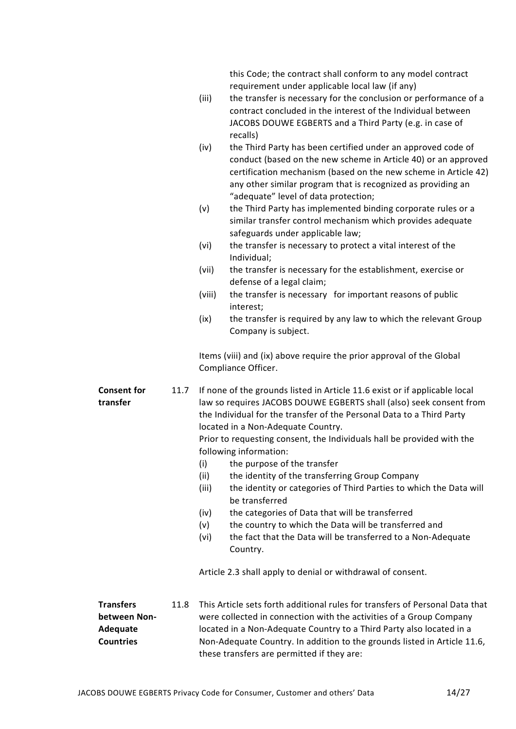this Code; the contract shall conform to any model contract requirement under applicable local law (if any)

- (iii) the transfer is necessary for the conclusion or performance of a contract concluded in the interest of the Individual between JACOBS DOUWE EGBERTS and a Third Party (e.g. in case of recalls)
- (iv) the Third Party has been certified under an approved code of conduct (based on the new scheme in Article 40) or an approved certification mechanism (based on the new scheme in Article 42) any other similar program that is recognized as providing an "adequate" level of data protection;
- (v) the Third Party has implemented binding corporate rules or a similar transfer control mechanism which provides adequate safeguards under applicable law;
- (vi) the transfer is necessary to protect a vital interest of the Individual;
- (vii) the transfer is necessary for the establishment, exercise or defense of a legal claim;
- (viii) the transfer is necessary for important reasons of public interest;
- (ix) the transfer is required by any law to which the relevant Group Company is subject.

Items (viii) and (ix) above require the prior approval of the Global Compliance Officer.

Consent for transfer 11.7 If none of the grounds listed in Article 11.6 exist or if applicable local law so requires JACOBS DOUWE EGBERTS shall (also) seek consent from the Individual for the transfer of the Personal Data to a Third Party located in a Non-Adequate Country. Prior to requesting consent, the Individuals hall be provided with the following information:

- (i) the purpose of the transfer
- (ii) the identity of the transferring Group Company
- (iii) the identity or categories of Third Parties to which the Data will be transferred
- (iv) the categories of Data that will be transferred
- (v) the country to which the Data will be transferred and
- (vi) the fact that the Data will be transferred to a Non-Adequate Country.

Article 2.3 shall apply to denial or withdrawal of consent.

**Transfers** between Non-Adequate **Countries** 11.8 This Article sets forth additional rules for transfers of Personal Data that were collected in connection with the activities of a Group Company located in a Non-Adequate Country to a Third Party also located in a Non-Adequate Country. In addition to the grounds listed in Article 11.6, these transfers are permitted if they are: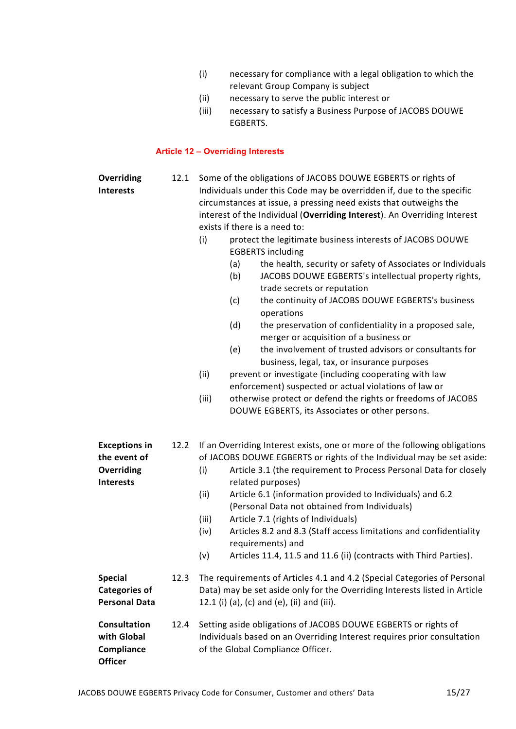- (i) necessary for compliance with a legal obligation to which the relevant Group Company is subject
- (ii) necessary to serve the public interest or
- (iii) necessary to satisfy a Business Purpose of JACOBS DOUWE EGBERTS.

## Article 12 – Overriding Interests

| Overriding<br><b>Interests</b>                                         | 12.1 | Some of the obligations of JACOBS DOUWE EGBERTS or rights of<br>Individuals under this Code may be overridden if, due to the specific<br>circumstances at issue, a pressing need exists that outweighs the<br>interest of the Individual (Overriding Interest). An Overriding Interest<br>exists if there is a need to:<br>(i)<br>protect the legitimate business interests of JACOBS DOUWE<br><b>EGBERTS</b> including<br>the health, security or safety of Associates or Individuals<br>(a)<br>(b)<br>JACOBS DOUWE EGBERTS's intellectual property rights,<br>trade secrets or reputation<br>the continuity of JACOBS DOUWE EGBERTS's business<br>(c)<br>operations<br>(d)<br>the preservation of confidentiality in a proposed sale, |
|------------------------------------------------------------------------|------|-----------------------------------------------------------------------------------------------------------------------------------------------------------------------------------------------------------------------------------------------------------------------------------------------------------------------------------------------------------------------------------------------------------------------------------------------------------------------------------------------------------------------------------------------------------------------------------------------------------------------------------------------------------------------------------------------------------------------------------------|
|                                                                        |      | merger or acquisition of a business or<br>the involvement of trusted advisors or consultants for<br>(e)<br>business, legal, tax, or insurance purposes                                                                                                                                                                                                                                                                                                                                                                                                                                                                                                                                                                                  |
|                                                                        |      | (ii)<br>prevent or investigate (including cooperating with law<br>enforcement) suspected or actual violations of law or                                                                                                                                                                                                                                                                                                                                                                                                                                                                                                                                                                                                                 |
|                                                                        |      | (iii)<br>otherwise protect or defend the rights or freedoms of JACOBS<br>DOUWE EGBERTS, its Associates or other persons.                                                                                                                                                                                                                                                                                                                                                                                                                                                                                                                                                                                                                |
| <b>Exceptions in</b><br>the event of<br>Overriding<br><b>Interests</b> | 12.2 | If an Overriding Interest exists, one or more of the following obligations<br>of JACOBS DOUWE EGBERTS or rights of the Individual may be set aside:<br>Article 3.1 (the requirement to Process Personal Data for closely<br>(i)<br>related purposes)<br>(ii)<br>Article 6.1 (information provided to Individuals) and 6.2<br>(Personal Data not obtained from Individuals)<br>(iii)<br>Article 7.1 (rights of Individuals)<br>Articles 8.2 and 8.3 (Staff access limitations and confidentiality<br>(iv)<br>requirements) and<br>Articles 11.4, 11.5 and 11.6 (ii) (contracts with Third Parties).<br>(v)                                                                                                                               |
| <b>Special</b><br><b>Categories of</b><br><b>Personal Data</b>         | 12.3 | The requirements of Articles 4.1 and 4.2 (Special Categories of Personal<br>Data) may be set aside only for the Overriding Interests listed in Article<br>12.1 (i) (a), (c) and (e), (ii) and (iii).                                                                                                                                                                                                                                                                                                                                                                                                                                                                                                                                    |
| <b>Consultation</b><br>with Global<br>Compliance<br><b>Officer</b>     | 12.4 | Setting aside obligations of JACOBS DOUWE EGBERTS or rights of<br>Individuals based on an Overriding Interest requires prior consultation<br>of the Global Compliance Officer.                                                                                                                                                                                                                                                                                                                                                                                                                                                                                                                                                          |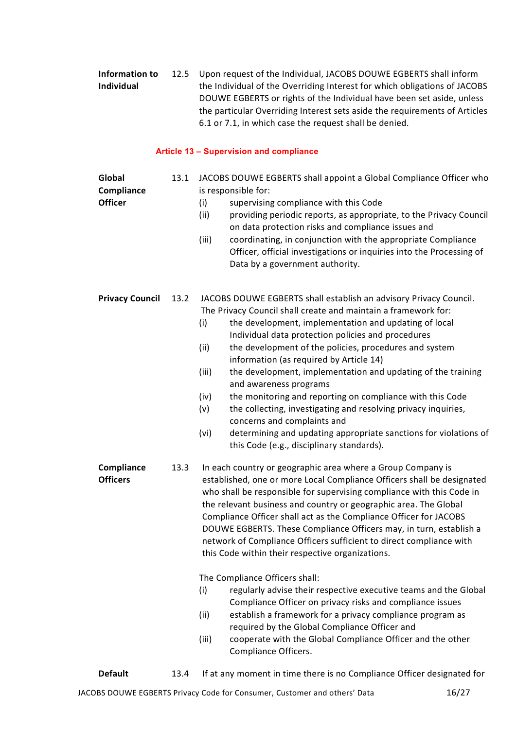| Information to    | 12.5 Upon request of the Individual, JACOBS DOUWE EGBERTS shall inform     |
|-------------------|----------------------------------------------------------------------------|
| <b>Individual</b> | the Individual of the Overriding Interest for which obligations of JACOBS  |
|                   | DOUWE EGBERTS or rights of the Individual have been set aside, unless      |
|                   | the particular Overriding Interest sets aside the requirements of Articles |
|                   | 6.1 or 7.1, in which case the request shall be denied.                     |

## Article 13 – Supervision and compliance

| Global<br>Compliance<br><b>Officer</b> | 13.1 | JACOBS DOUWE EGBERTS shall appoint a Global Compliance Officer who<br>is responsible for:<br>supervising compliance with this Code<br>(i)<br>(ii)<br>providing periodic reports, as appropriate, to the Privacy Council<br>on data protection risks and compliance issues and<br>coordinating, in conjunction with the appropriate Compliance<br>(iii)<br>Officer, official investigations or inquiries into the Processing of<br>Data by a government authority.                                                                                                                                                                                                                                                                                                                                                                                                                                                                                       |  |
|----------------------------------------|------|---------------------------------------------------------------------------------------------------------------------------------------------------------------------------------------------------------------------------------------------------------------------------------------------------------------------------------------------------------------------------------------------------------------------------------------------------------------------------------------------------------------------------------------------------------------------------------------------------------------------------------------------------------------------------------------------------------------------------------------------------------------------------------------------------------------------------------------------------------------------------------------------------------------------------------------------------------|--|
| <b>Privacy Council</b>                 | 13.2 | JACOBS DOUWE EGBERTS shall establish an advisory Privacy Council.<br>The Privacy Council shall create and maintain a framework for:<br>the development, implementation and updating of local<br>(i)<br>Individual data protection policies and procedures<br>(ii)<br>the development of the policies, procedures and system<br>information (as required by Article 14)<br>(iii)<br>the development, implementation and updating of the training<br>and awareness programs<br>the monitoring and reporting on compliance with this Code<br>(iv)<br>(v)<br>the collecting, investigating and resolving privacy inquiries,<br>concerns and complaints and<br>(vi)<br>determining and updating appropriate sanctions for violations of<br>this Code (e.g., disciplinary standards).                                                                                                                                                                         |  |
| Compliance<br><b>Officers</b>          | 13.3 | In each country or geographic area where a Group Company is<br>established, one or more Local Compliance Officers shall be designated<br>who shall be responsible for supervising compliance with this Code in<br>the relevant business and country or geographic area. The Global<br>Compliance Officer shall act as the Compliance Officer for JACOBS<br>DOUWE EGBERTS. These Compliance Officers may, in turn, establish a<br>network of Compliance Officers sufficient to direct compliance with<br>this Code within their respective organizations.<br>The Compliance Officers shall:<br>(i)<br>regularly advise their respective executive teams and the Global<br>Compliance Officer on privacy risks and compliance issues<br>(ii)<br>establish a framework for a privacy compliance program as<br>required by the Global Compliance Officer and<br>(iii)<br>cooperate with the Global Compliance Officer and the other<br>Compliance Officers. |  |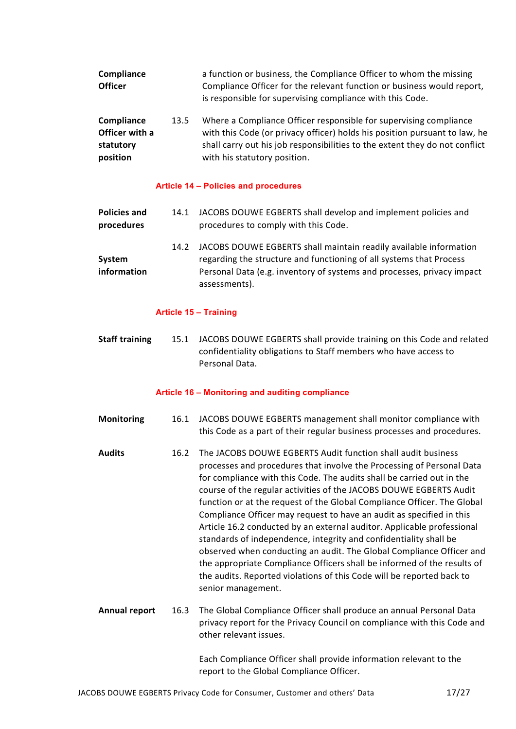| Compliance<br><b>Officer</b>                          |      | a function or business, the Compliance Officer to whom the missing<br>Compliance Officer for the relevant function or business would report,<br>is responsible for supervising compliance with this Code.                                                      |
|-------------------------------------------------------|------|----------------------------------------------------------------------------------------------------------------------------------------------------------------------------------------------------------------------------------------------------------------|
| Compliance<br>Officer with a<br>statutory<br>position | 13.5 | Where a Compliance Officer responsible for supervising compliance<br>with this Code (or privacy officer) holds his position pursuant to law, he<br>shall carry out his job responsibilities to the extent they do not conflict<br>with his statutory position. |

#### Article 14 – Policies and procedures

| <b>Policies and</b><br>procedures | 14.1 | JACOBS DOUWE EGBERTS shall develop and implement policies and<br>procedures to comply with this Code.                                                                                                                               |
|-----------------------------------|------|-------------------------------------------------------------------------------------------------------------------------------------------------------------------------------------------------------------------------------------|
| System<br>information             | 14.2 | JACOBS DOUWE EGBERTS shall maintain readily available information<br>regarding the structure and functioning of all systems that Process<br>Personal Data (e.g. inventory of systems and processes, privacy impact<br>assessments). |

#### Article 15 – Training

Staff training 15.1 JACOBS DOUWE EGBERTS shall provide training on this Code and related confidentiality obligations to Staff members who have access to Personal Data.

#### Article 16 – Monitoring and auditing compliance

- Monitoring 16.1 JACOBS DOUWE EGBERTS management shall monitor compliance with this Code as a part of their regular business processes and procedures.
- Audits 16.2 The JACOBS DOUWE EGBERTS Audit function shall audit business processes and procedures that involve the Processing of Personal Data for compliance with this Code. The audits shall be carried out in the course of the regular activities of the JACOBS DOUWE EGBERTS Audit function or at the request of the Global Compliance Officer. The Global Compliance Officer may request to have an audit as specified in this Article 16.2 conducted by an external auditor. Applicable professional standards of independence, integrity and confidentiality shall be observed when conducting an audit. The Global Compliance Officer and the appropriate Compliance Officers shall be informed of the results of the audits. Reported violations of this Code will be reported back to senior management.
- Annual report 16.3 The Global Compliance Officer shall produce an annual Personal Data privacy report for the Privacy Council on compliance with this Code and other relevant issues.

Each Compliance Officer shall provide information relevant to the report to the Global Compliance Officer.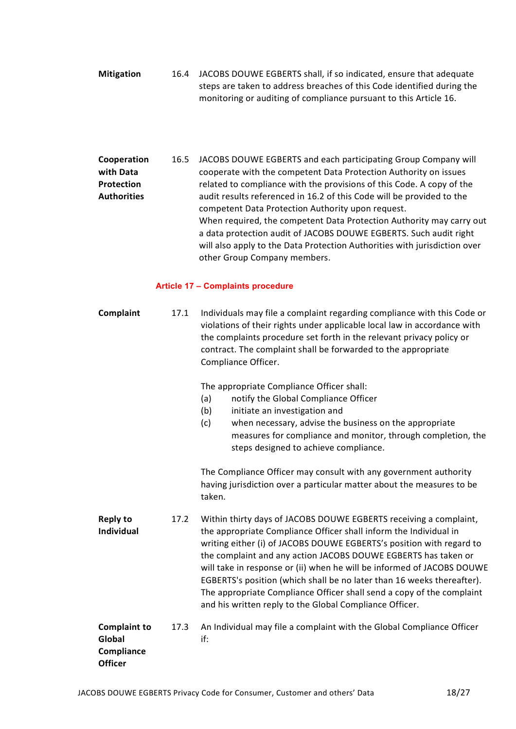Mitigation 16.4 JACOBS DOUWE EGBERTS shall, if so indicated, ensure that adequate steps are taken to address breaches of this Code identified during the monitoring or auditing of compliance pursuant to this Article 16.

Cooperation with Data Protection **Authorities** 16.5 JACOBS DOUWE EGBERTS and each participating Group Company will cooperate with the competent Data Protection Authority on issues related to compliance with the provisions of this Code. A copy of the audit results referenced in 16.2 of this Code will be provided to the competent Data Protection Authority upon request. When required, the competent Data Protection Authority may carry out a data protection audit of JACOBS DOUWE EGBERTS. Such audit right will also apply to the Data Protection Authorities with jurisdiction over other Group Company members.

## Article 17 – Complaints procedure

| Complaint                                                     | 17.1 | Individuals may file a complaint regarding compliance with this Code or<br>violations of their rights under applicable local law in accordance with<br>the complaints procedure set forth in the relevant privacy policy or<br>contract. The complaint shall be forwarded to the appropriate<br>Compliance Officer.                                                                                                                                                                                                                                                      |  |
|---------------------------------------------------------------|------|--------------------------------------------------------------------------------------------------------------------------------------------------------------------------------------------------------------------------------------------------------------------------------------------------------------------------------------------------------------------------------------------------------------------------------------------------------------------------------------------------------------------------------------------------------------------------|--|
|                                                               |      | The appropriate Compliance Officer shall:<br>notify the Global Compliance Officer<br>(a)<br>(b)<br>initiate an investigation and<br>(c)<br>when necessary, advise the business on the appropriate<br>measures for compliance and monitor, through completion, the<br>steps designed to achieve compliance.                                                                                                                                                                                                                                                               |  |
|                                                               |      | The Compliance Officer may consult with any government authority<br>having jurisdiction over a particular matter about the measures to be<br>taken.                                                                                                                                                                                                                                                                                                                                                                                                                      |  |
| <b>Reply to</b><br><b>Individual</b>                          | 17.2 | Within thirty days of JACOBS DOUWE EGBERTS receiving a complaint,<br>the appropriate Compliance Officer shall inform the Individual in<br>writing either (i) of JACOBS DOUWE EGBERTS's position with regard to<br>the complaint and any action JACOBS DOUWE EGBERTS has taken or<br>will take in response or (ii) when he will be informed of JACOBS DOUWE<br>EGBERTS's position (which shall be no later than 16 weeks thereafter).<br>The appropriate Compliance Officer shall send a copy of the complaint<br>and his written reply to the Global Compliance Officer. |  |
| <b>Complaint to</b><br>Global<br>Compliance<br><b>Officer</b> | 17.3 | An Individual may file a complaint with the Global Compliance Officer<br>if:                                                                                                                                                                                                                                                                                                                                                                                                                                                                                             |  |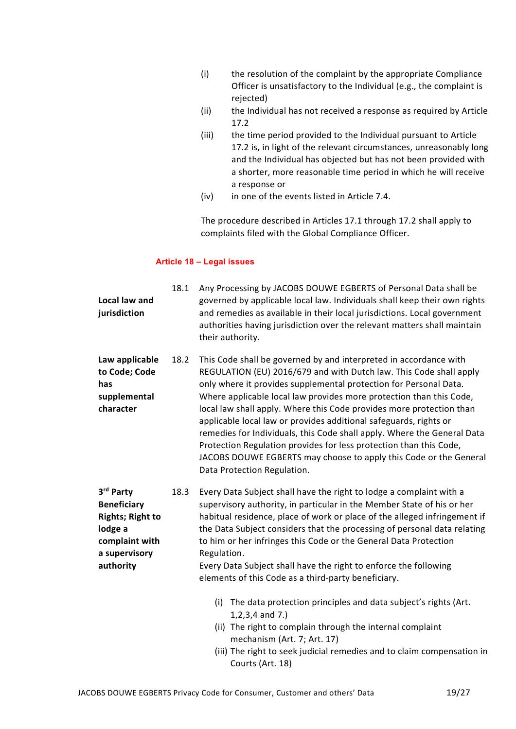- (i) the resolution of the complaint by the appropriate Compliance Officer is unsatisfactory to the Individual (e.g., the complaint is rejected)
- (ii) the Individual has not received a response as required by Article 17.2
- (iii) the time period provided to the Individual pursuant to Article 17.2 is, in light of the relevant circumstances, unreasonably long and the Individual has objected but has not been provided with a shorter, more reasonable time period in which he will receive a response or
- (iv) in one of the events listed in Article 7.4.

The procedure described in Articles 17.1 through 17.2 shall apply to complaints filed with the Global Compliance Officer.

## Article 18 – Legal issues

| Local law and<br>jurisdiction                                                                                         | 18.1 | Any Processing by JACOBS DOUWE EGBERTS of Personal Data shall be<br>governed by applicable local law. Individuals shall keep their own rights<br>and remedies as available in their local jurisdictions. Local government<br>authorities having jurisdiction over the relevant matters shall maintain<br>their authority.                                                                                                                                                                                                                                                                                                                                                             |
|-----------------------------------------------------------------------------------------------------------------------|------|---------------------------------------------------------------------------------------------------------------------------------------------------------------------------------------------------------------------------------------------------------------------------------------------------------------------------------------------------------------------------------------------------------------------------------------------------------------------------------------------------------------------------------------------------------------------------------------------------------------------------------------------------------------------------------------|
| Law applicable<br>to Code; Code<br>has<br>supplemental<br>character                                                   | 18.2 | This Code shall be governed by and interpreted in accordance with<br>REGULATION (EU) 2016/679 and with Dutch law. This Code shall apply<br>only where it provides supplemental protection for Personal Data.<br>Where applicable local law provides more protection than this Code,<br>local law shall apply. Where this Code provides more protection than<br>applicable local law or provides additional safeguards, rights or<br>remedies for Individuals, this Code shall apply. Where the General Data<br>Protection Regulation provides for less protection than this Code,<br>JACOBS DOUWE EGBERTS may choose to apply this Code or the General<br>Data Protection Regulation. |
| 3rd Party<br><b>Beneficiary</b><br><b>Rights; Right to</b><br>lodge a<br>complaint with<br>a supervisory<br>authority | 18.3 | Every Data Subject shall have the right to lodge a complaint with a<br>supervisory authority, in particular in the Member State of his or her<br>habitual residence, place of work or place of the alleged infringement if<br>the Data Subject considers that the processing of personal data relating<br>to him or her infringes this Code or the General Data Protection<br>Regulation.<br>Every Data Subject shall have the right to enforce the following<br>elements of this Code as a third-party beneficiary.                                                                                                                                                                  |
|                                                                                                                       |      | (i) The data protection principles and data subject's rights (Art.<br>$1, 2, 3, 4$ and $7.$ )<br>(ii) The right to complain through the internal complaint<br>mechanism (Art. 7; Art. 17)<br>(iii) The right to seek judicial remedies and to claim compensation in<br>Courts (Art. 18)                                                                                                                                                                                                                                                                                                                                                                                               |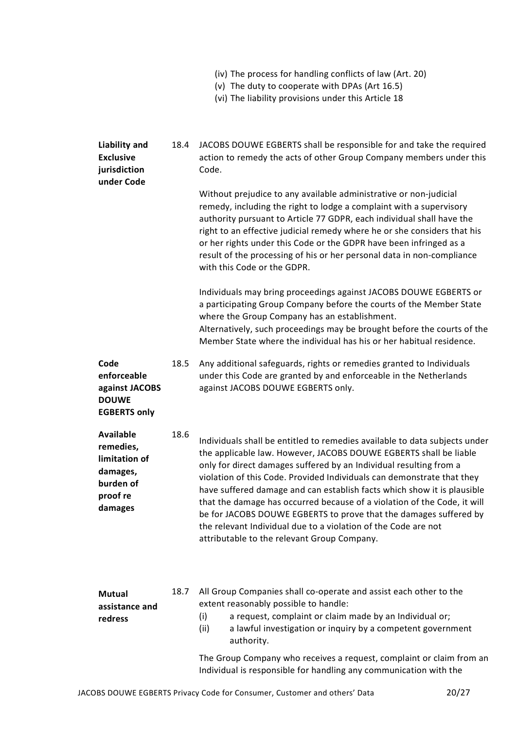|  |  | (iv) The process for handling conflicts of law (Art. 20) |
|--|--|----------------------------------------------------------|
|--|--|----------------------------------------------------------|

- (v) The duty to cooperate with DPAs (Art 16.5)
- (vi) The liability provisions under this Article 18

| <b>Liability and</b><br><b>Exclusive</b><br>jurisdiction<br>under Code                         | 18.4 | JACOBS DOUWE EGBERTS shall be responsible for and take the required<br>action to remedy the acts of other Group Company members under this<br>Code.                                                                                                                                                                                                                                                                                                                                                                                                                                                                                          |  |
|------------------------------------------------------------------------------------------------|------|----------------------------------------------------------------------------------------------------------------------------------------------------------------------------------------------------------------------------------------------------------------------------------------------------------------------------------------------------------------------------------------------------------------------------------------------------------------------------------------------------------------------------------------------------------------------------------------------------------------------------------------------|--|
|                                                                                                |      | Without prejudice to any available administrative or non-judicial<br>remedy, including the right to lodge a complaint with a supervisory<br>authority pursuant to Article 77 GDPR, each individual shall have the<br>right to an effective judicial remedy where he or she considers that his<br>or her rights under this Code or the GDPR have been infringed as a<br>result of the processing of his or her personal data in non-compliance<br>with this Code or the GDPR.                                                                                                                                                                 |  |
|                                                                                                |      | Individuals may bring proceedings against JACOBS DOUWE EGBERTS or<br>a participating Group Company before the courts of the Member State<br>where the Group Company has an establishment.<br>Alternatively, such proceedings may be brought before the courts of the<br>Member State where the individual has his or her habitual residence.                                                                                                                                                                                                                                                                                                 |  |
| Code<br>enforceable<br>against JACOBS<br><b>DOUWE</b><br><b>EGBERTS only</b>                   | 18.5 | Any additional safeguards, rights or remedies granted to Individuals<br>under this Code are granted by and enforceable in the Netherlands<br>against JACOBS DOUWE EGBERTS only.                                                                                                                                                                                                                                                                                                                                                                                                                                                              |  |
| <b>Available</b><br>remedies,<br>limitation of<br>damages,<br>burden of<br>proof re<br>damages | 18.6 | Individuals shall be entitled to remedies available to data subjects under<br>the applicable law. However, JACOBS DOUWE EGBERTS shall be liable<br>only for direct damages suffered by an Individual resulting from a<br>violation of this Code. Provided Individuals can demonstrate that they<br>have suffered damage and can establish facts which show it is plausible<br>that the damage has occurred because of a violation of the Code, it will<br>be for JACOBS DOUWE EGBERTS to prove that the damages suffered by<br>the relevant Individual due to a violation of the Code are not<br>attributable to the relevant Group Company. |  |
| Mutual<br>assistance and<br>redress                                                            | 18.7 | All Group Companies shall co-operate and assist each other to the<br>extent reasonably possible to handle:<br>a request, complaint or claim made by an Individual or;<br>(i)<br>(ii)<br>a lawful investigation or inquiry by a competent government<br>authority.                                                                                                                                                                                                                                                                                                                                                                            |  |
|                                                                                                |      | The Group Company who receives a request, complaint or claim from an<br>Individual is responsible for handling any communication with the                                                                                                                                                                                                                                                                                                                                                                                                                                                                                                    |  |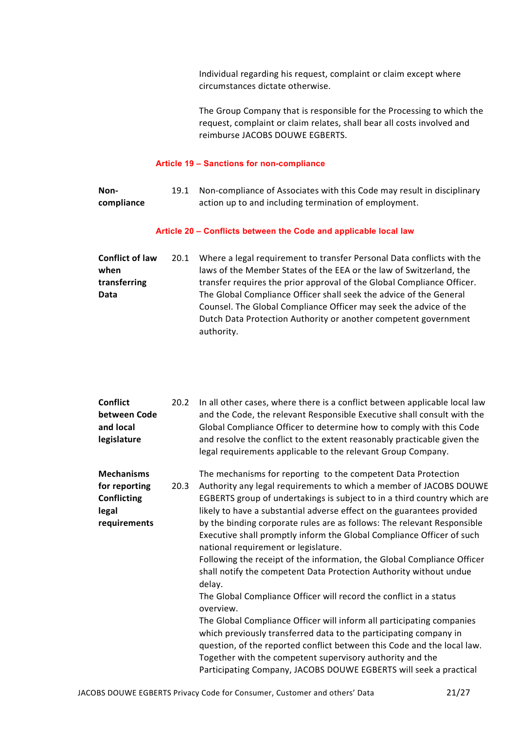Individual regarding his request, complaint or claim except where circumstances dictate otherwise.

The Group Company that is responsible for the Processing to which the request, complaint or claim relates, shall bear all costs involved and reimburse JACOBS DOUWE EGBERTS.

#### Article 19 – Sanctions for non-compliance

| Non-       | 19.1 Non-compliance of Associates with this Code may result in disciplinary |
|------------|-----------------------------------------------------------------------------|
| compliance | action up to and including termination of employment.                       |

#### Article 20 – Conflicts between the Code and applicable local law

| <b>Conflict of law</b> | 20.1 | Where a legal requirement to transfer Personal Data conflicts with the |
|------------------------|------|------------------------------------------------------------------------|
| when                   |      | laws of the Member States of the EEA or the law of Switzerland, the    |
| transferring           |      | transfer requires the prior approval of the Global Compliance Officer. |
| <b>Data</b>            |      | The Global Compliance Officer shall seek the advice of the General     |
|                        |      | Counsel. The Global Compliance Officer may seek the advice of the      |
|                        |      | Dutch Data Protection Authority or another competent government        |
|                        |      | authority.                                                             |

| <b>Conflict</b><br>between Code<br>and local<br>legislature                       | 20.2 | In all other cases, where there is a conflict between applicable local law<br>and the Code, the relevant Responsible Executive shall consult with the<br>Global Compliance Officer to determine how to comply with this Code<br>and resolve the conflict to the extent reasonably practicable given the<br>legal requirements applicable to the relevant Group Company.                                                                                                                                                                                                                                                                                                                                                                                                                                                                                                                                                                                                                                                                                                                        |
|-----------------------------------------------------------------------------------|------|------------------------------------------------------------------------------------------------------------------------------------------------------------------------------------------------------------------------------------------------------------------------------------------------------------------------------------------------------------------------------------------------------------------------------------------------------------------------------------------------------------------------------------------------------------------------------------------------------------------------------------------------------------------------------------------------------------------------------------------------------------------------------------------------------------------------------------------------------------------------------------------------------------------------------------------------------------------------------------------------------------------------------------------------------------------------------------------------|
| <b>Mechanisms</b><br>for reporting<br><b>Conflicting</b><br>legal<br>requirements | 20.3 | The mechanisms for reporting to the competent Data Protection<br>Authority any legal requirements to which a member of JACOBS DOUWE<br>EGBERTS group of undertakings is subject to in a third country which are<br>likely to have a substantial adverse effect on the guarantees provided<br>by the binding corporate rules are as follows: The relevant Responsible<br>Executive shall promptly inform the Global Compliance Officer of such<br>national requirement or legislature.<br>Following the receipt of the information, the Global Compliance Officer<br>shall notify the competent Data Protection Authority without undue<br>delay.<br>The Global Compliance Officer will record the conflict in a status<br>overview.<br>The Global Compliance Officer will inform all participating companies<br>which previously transferred data to the participating company in<br>question, of the reported conflict between this Code and the local law.<br>Together with the competent supervisory authority and the<br>Participating Company, JACOBS DOUWE EGBERTS will seek a practical |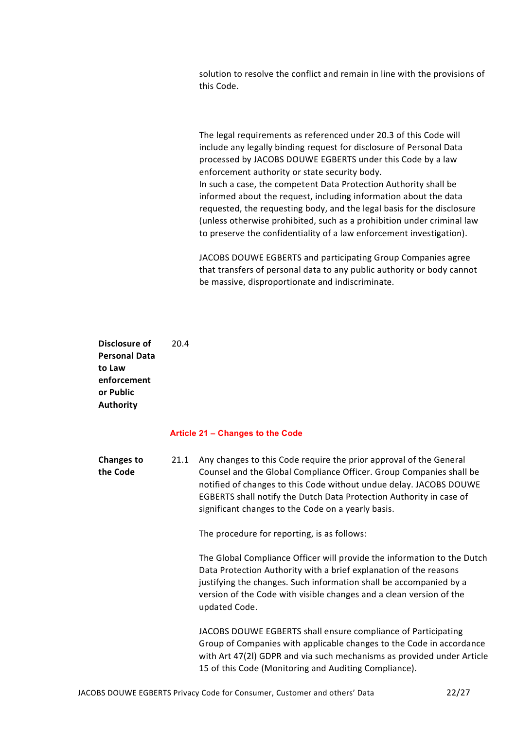solution to resolve the conflict and remain in line with the provisions of this Code.

The legal requirements as referenced under 20.3 of this Code will include any legally binding request for disclosure of Personal Data processed by JACOBS DOUWE EGBERTS under this Code by a law enforcement authority or state security body. In such a case, the competent Data Protection Authority shall be informed about the request, including information about the data requested, the requesting body, and the legal basis for the disclosure (unless otherwise prohibited, such as a prohibition under criminal law to preserve the confidentiality of a law enforcement investigation).

JACOBS DOUWE EGBERTS and participating Group Companies agree that transfers of personal data to any public authority or body cannot be massive, disproportionate and indiscriminate.

Disclosure of Personal Data to Law enforcement or Public Authority 20.4

#### Article 21 – Changes to the Code

Changes to the Code 21.1 Any changes to this Code require the prior approval of the General Counsel and the Global Compliance Officer. Group Companies shall be notified of changes to this Code without undue delay. JACOBS DOUWE EGBERTS shall notify the Dutch Data Protection Authority in case of significant changes to the Code on a yearly basis. The procedure for reporting, is as follows: The Global Compliance Officer will provide the information to the Dutch

Data Protection Authority with a brief explanation of the reasons justifying the changes. Such information shall be accompanied by a version of the Code with visible changes and a clean version of the updated Code.

JACOBS DOUWE EGBERTS shall ensure compliance of Participating Group of Companies with applicable changes to the Code in accordance with Art 47(2l) GDPR and via such mechanisms as provided under Article 15 of this Code (Monitoring and Auditing Compliance).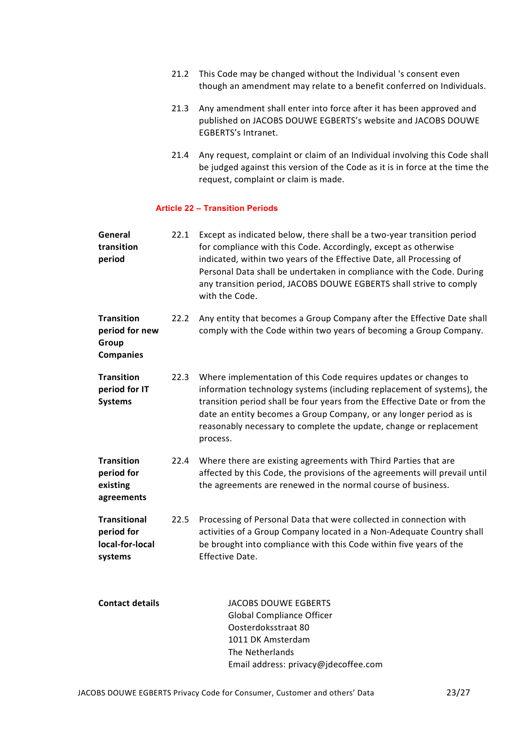- 21.2 This Code may be changed without the Individual 's consent even though an amendment may relate to a benefit conferred on Individuals.
- 21.3 Any amendment shall enter into force after it has been approved and published on JACOBS DOUWE EGBERTS's website and JACOBS DOUWE EGBERTS's Intranet.
- 21.4 Any request, complaint or claim of an Individual involving this Code shall be judged against this version of the Code as it is in force at the time the request, complaint or claim is made.

## Article 22 – Transition Periods

| General<br>transition<br>period                                  | 22.1 | Except as indicated below, there shall be a two-year transition period<br>for compliance with this Code. Accordingly, except as otherwise<br>indicated, within two years of the Effective Date, all Processing of<br>Personal Data shall be undertaken in compliance with the Code. During<br>any transition period, JACOBS DOUWE EGBERTS shall strive to comply<br>with the Code. |
|------------------------------------------------------------------|------|------------------------------------------------------------------------------------------------------------------------------------------------------------------------------------------------------------------------------------------------------------------------------------------------------------------------------------------------------------------------------------|
| <b>Transition</b><br>period for new<br>Group<br><b>Companies</b> | 22.2 | Any entity that becomes a Group Company after the Effective Date shall<br>comply with the Code within two years of becoming a Group Company.                                                                                                                                                                                                                                       |
| <b>Transition</b><br>period for IT<br><b>Systems</b>             | 22.3 | Where implementation of this Code requires updates or changes to<br>information technology systems (including replacement of systems), the<br>transition period shall be four years from the Effective Date or from the<br>date an entity becomes a Group Company, or any longer period as is<br>reasonably necessary to complete the update, change or replacement<br>process.    |
| <b>Transition</b><br>period for<br>existing<br>agreements        | 22.4 | Where there are existing agreements with Third Parties that are<br>affected by this Code, the provisions of the agreements will prevail until<br>the agreements are renewed in the normal course of business.                                                                                                                                                                      |
| <b>Transitional</b><br>period for<br>local-for-local<br>systems  | 22.5 | Processing of Personal Data that were collected in connection with<br>activities of a Group Company located in a Non-Adequate Country shall<br>be brought into compliance with this Code within five years of the<br>Effective Date.                                                                                                                                               |
| <b>Contact details</b>                                           |      | JACOBS DOUWE EGBERTS<br><b>Global Compliance Officer</b><br>Oosterdoksstraat 80<br>1011 DK Amsterdam<br>The Netherlands<br>Email address: privacy@jdecoffee.com                                                                                                                                                                                                                    |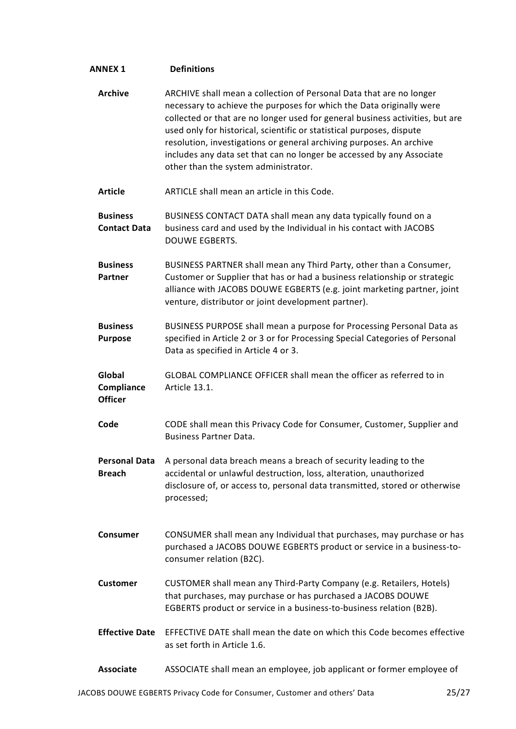| <b>ANNEX 1</b>                         | <b>Definitions</b>                                                                                                                                                                                                                                                                                                                                                                                                                                                                             |
|----------------------------------------|------------------------------------------------------------------------------------------------------------------------------------------------------------------------------------------------------------------------------------------------------------------------------------------------------------------------------------------------------------------------------------------------------------------------------------------------------------------------------------------------|
| <b>Archive</b>                         | ARCHIVE shall mean a collection of Personal Data that are no longer<br>necessary to achieve the purposes for which the Data originally were<br>collected or that are no longer used for general business activities, but are<br>used only for historical, scientific or statistical purposes, dispute<br>resolution, investigations or general archiving purposes. An archive<br>includes any data set that can no longer be accessed by any Associate<br>other than the system administrator. |
| <b>Article</b>                         | ARTICLE shall mean an article in this Code.                                                                                                                                                                                                                                                                                                                                                                                                                                                    |
| <b>Business</b><br><b>Contact Data</b> | BUSINESS CONTACT DATA shall mean any data typically found on a<br>business card and used by the Individual in his contact with JACOBS<br>DOUWE EGBERTS.                                                                                                                                                                                                                                                                                                                                        |
| <b>Business</b><br>Partner             | BUSINESS PARTNER shall mean any Third Party, other than a Consumer,<br>Customer or Supplier that has or had a business relationship or strategic<br>alliance with JACOBS DOUWE EGBERTS (e.g. joint marketing partner, joint<br>venture, distributor or joint development partner).                                                                                                                                                                                                             |
| <b>Business</b><br><b>Purpose</b>      | BUSINESS PURPOSE shall mean a purpose for Processing Personal Data as<br>specified in Article 2 or 3 or for Processing Special Categories of Personal<br>Data as specified in Article 4 or 3.                                                                                                                                                                                                                                                                                                  |
| Global<br>Compliance<br><b>Officer</b> | GLOBAL COMPLIANCE OFFICER shall mean the officer as referred to in<br>Article 13.1.                                                                                                                                                                                                                                                                                                                                                                                                            |
| Code                                   | CODE shall mean this Privacy Code for Consumer, Customer, Supplier and<br><b>Business Partner Data.</b>                                                                                                                                                                                                                                                                                                                                                                                        |
| <b>Personal Data</b><br><b>Breach</b>  | A personal data breach means a breach of security leading to the<br>accidental or unlawful destruction, loss, alteration, unauthorized<br>disclosure of, or access to, personal data transmitted, stored or otherwise<br>processed;                                                                                                                                                                                                                                                            |
| <b>Consumer</b>                        | CONSUMER shall mean any Individual that purchases, may purchase or has<br>purchased a JACOBS DOUWE EGBERTS product or service in a business-to-<br>consumer relation (B2C).                                                                                                                                                                                                                                                                                                                    |
| <b>Customer</b>                        | CUSTOMER shall mean any Third-Party Company (e.g. Retailers, Hotels)<br>that purchases, may purchase or has purchased a JACOBS DOUWE<br>EGBERTS product or service in a business-to-business relation (B2B).                                                                                                                                                                                                                                                                                   |
| <b>Effective Date</b>                  | EFFECTIVE DATE shall mean the date on which this Code becomes effective<br>as set forth in Article 1.6.                                                                                                                                                                                                                                                                                                                                                                                        |
| <b>Associate</b>                       | ASSOCIATE shall mean an employee, job applicant or former employee of                                                                                                                                                                                                                                                                                                                                                                                                                          |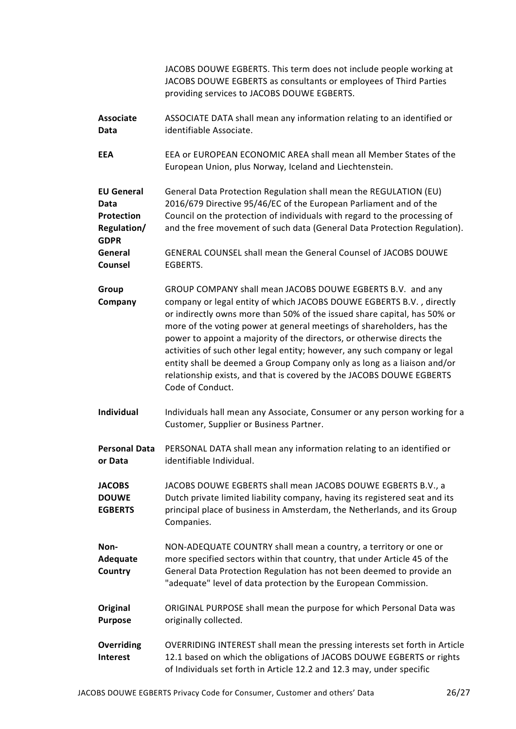JACOBS DOUWE EGBERTS. This term does not include people working at JACOBS DOUWE EGBERTS as consultants or employees of Third Parties providing services to JACOBS DOUWE EGBERTS.

- Associate Data ASSOCIATE DATA shall mean any information relating to an identified or identifiable Associate.
- EEA EEA or EUROPEAN ECONOMIC AREA shall mean all Member States of the European Union, plus Norway, Iceland and Liechtenstein.

EU General Data Protection Regulation/ GDPR General Data Protection Regulation shall mean the REGULATION (EU) 2016/679 Directive 95/46/EC of the European Parliament and of the Council on the protection of individuals with regard to the processing of and the free movement of such data (General Data Protection Regulation). General GENERAL COUNSEL shall mean the General Counsel of JACOBS DOUWE

- Counsel EGBERTS.
- Group **Company** GROUP COMPANY shall mean JACOBS DOUWE EGBERTS B.V. and any company or legal entity of which JACOBS DOUWE EGBERTS B.V. , directly or indirectly owns more than 50% of the issued share capital, has 50% or more of the voting power at general meetings of shareholders, has the power to appoint a majority of the directors, or otherwise directs the activities of such other legal entity; however, any such company or legal entity shall be deemed a Group Company only as long as a liaison and/or relationship exists, and that is covered by the JACOBS DOUWE EGBERTS Code of Conduct.
- Individual Individuals hall mean any Associate, Consumer or any person working for a Customer, Supplier or Business Partner.
- Personal Data or Data PERSONAL DATA shall mean any information relating to an identified or identifiable Individual.

**JACOBS DOUWE EGBERTS** JACOBS DOUWE EGBERTS shall mean JACOBS DOUWE EGBERTS B.V., a Dutch private limited liability company, having its registered seat and its principal place of business in Amsterdam, the Netherlands, and its Group Companies.

- Non-Adequate **Country** NON-ADEQUATE COUNTRY shall mean a country, a territory or one or more specified sectors within that country, that under Article 45 of the General Data Protection Regulation has not been deemed to provide an "adequate" level of data protection by the European Commission.
- **Original** Purpose ORIGINAL PURPOSE shall mean the purpose for which Personal Data was originally collected.
- **Overriding** Interest OVERRIDING INTEREST shall mean the pressing interests set forth in Article 12.1 based on which the obligations of JACOBS DOUWE EGBERTS or rights of Individuals set forth in Article 12.2 and 12.3 may, under specific